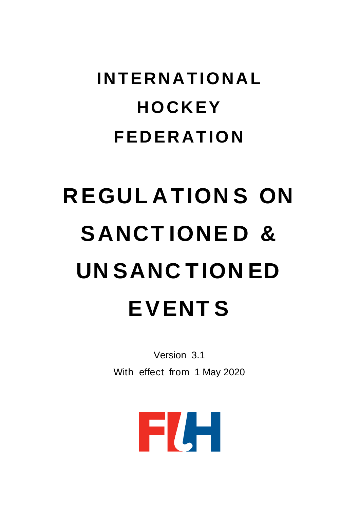## **INTERNATIONAL HOCKEY FEDERATION**

# **REGUL ATION S ON SANCT IONE D & UN SANC TION ED EVENT S**

Version 3.1 With effect from 1 May 2020

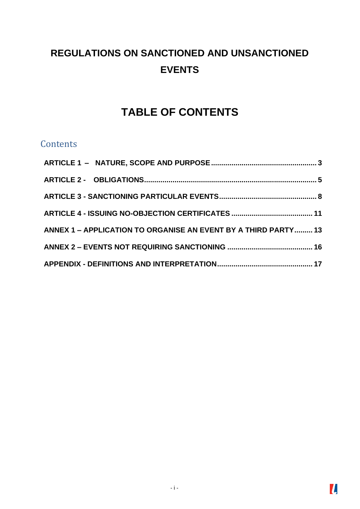## **REGULATIONS ON SANCTIONED AND UNSANCTIONED EVENTS**

## **TABLE OF CONTENTS**

### **Contents**

| ANNEX 1 - APPLICATION TO ORGANISE AN EVENT BY A THIRD PARTY 13 |  |
|----------------------------------------------------------------|--|
|                                                                |  |
|                                                                |  |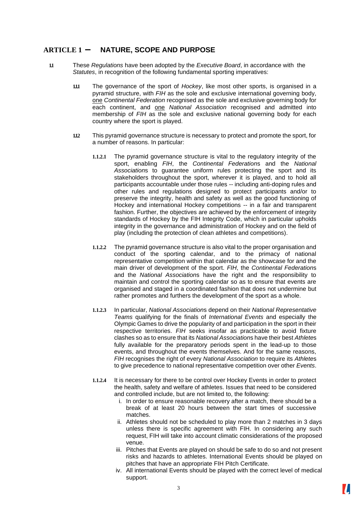#### <span id="page-2-0"></span>**ARTICLE 1 – NATURE, SCOPE AND PURPOSE**

- **1.1** These *Regulations* have been adopted by the *Executive Board*, in accordance with the *Statutes*, in recognition of the following fundamental sporting imperatives:
	- **1.1.1** The governance of the sport of *Hockey*, like most other sports, is organised in a pyramid structure, with *FIH* as the sole and exclusive international governing body, one *Continental Federation* recognised as the sole and exclusive governing body for each continent, and one *National Association* recognised and admitted into membership of *FIH* as the sole and exclusive national governing body for each country where the sport is played.
	- **1.1.2** This pyramid governance structure is necessary to protect and promote the sport, for a number of reasons. In particular:
		- **1.1.2.1** The pyramid governance structure is vital to the regulatory integrity of the sport, enabling *FIH*, the *Continental Federation*s and the *National Association*s to guarantee uniform rules protecting the sport and its stakeholders throughout the sport, wherever it is played, and to hold all participants accountable under those rules -- including anti-doping rules and other rules and regulations designed to protect participants and/or to preserve the integrity, health and safety as well as the good functioning of Hockey and international Hockey competitions -- in a fair and transparent fashion. Further, the objectives are achieved by the enforcement of integrity standards of Hockey by the FIH Integrity Code, which in particular upholds integrity in the governance and administration of Hockey and on the field of play (including the protection of clean athletes and competitions).
		- **1.1.2.2** The pyramid governance structure is also vital to the proper organisation and conduct of the sporting calendar, and to the primacy of national representative competition within that calendar as the showcase for and the main driver of development of the sport. *FIH*, the *Continental Federation*s and the *National Association*s have the right and the responsibility to maintain and control the sporting calendar so as to ensure that events are organised and staged in a coordinated fashion that does not undermine but rather promotes and furthers the development of the sport as a whole.
		- **1.1.2.3** In particular, *National Association*s depend on their *National Representative Teams* qualifying for the finals of *International Events* and especially the Olympic Games to drive the popularity of and participation in the sport in their respective territories. *FIH* seeks insofar as practicable to avoid fixture clashes so as to ensure that its *National Association*s have their best *Athlete*s fully available for the preparatory periods spent in the lead-up to those events, and throughout the events themselves. And for the same reasons, *FIH* recognises the right of every *National Association* to require its *Athlete*s to give precedence to national representative competition over other *Events*.
		- **1.1.2.4** It is necessary for there to be control over Hockey Events in order to protect the health, safety and welfare of athletes. Issues that need to be considered and controlled include, but are not limited to, the following:
			- i. In order to ensure reasonable recovery after a match, there should be a break of at least 20 hours between the start times of successive matches.
			- ii. Athletes should not be scheduled to play more than 2 matches in 3 days unless there is specific agreement with FIH. In considering any such request, FIH will take into account climatic considerations of the proposed venue.
			- iii. Pitches that Events are played on should be safe to do so and not present risks and hazards to athletes. International Events should be played on pitches that have an appropriate FIH Pitch Certificate.
			- iv. All international Events should be played with the correct level of medical support.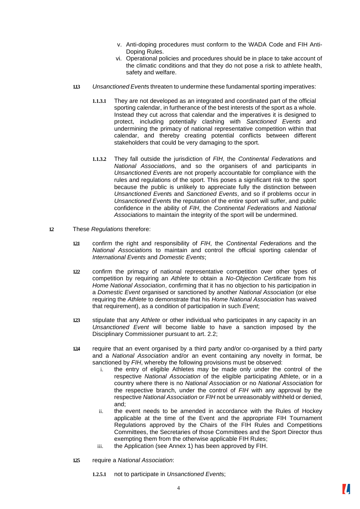- v. Anti-doping procedures must conform to the WADA Code and FIH Anti-Doping Rules.
- vi. Operational policies and procedures should be in place to take account of the climatic conditions and that they do not pose a risk to athlete health, safety and welfare.
- **1.1.3** *Unsanctioned Event*s threaten to undermine these fundamental sporting imperatives:
	- **1.1.3.1** They are not developed as an integrated and coordinated part of the official sporting calendar, in furtherance of the best interests of the sport as a whole. Instead they cut across that calendar and the imperatives it is designed to protect, including potentially clashing with *Sanctioned Events* and undermining the primacy of national representative competition within that calendar, and thereby creating potential conflicts between different stakeholders that could be very damaging to the sport.
	- **1.1.3.2** They fall outside the jurisdiction of *FIH*, the *Continental Federation*s and *National Association*s, and so the organisers of and participants in *Unsanctioned Event*s are not properly accountable for compliance with the rules and regulations of the sport. This poses a significant risk to the sport because the public is unlikely to appreciate fully the distinction between *Unsanctioned Event*s and *Sanctioned Events*, and so if problems occur in *Unsanctioned Event*s the reputation of the entire sport will suffer, and public confidence in the ability of *FIH*, the *Continental Federation*s and *National Association*s to maintain the integrity of the sport will be undermined.
- **1.2** These *Regulations* therefore:
	- **1.2.1** confirm the right and responsibility of *FIH*, the *Continental Federation*s and the *National Association*s to maintain and control the official sporting calendar of *International Events* and *Domestic Events*;
	- **1.2.2** confirm the primacy of national representative competition over other types of competition by requiring an *Athlete* to obtain a *No-Objection Certificate* from his *Home National Association*, confirming that it has no objection to his participation in a *Domestic Event* organised or sanctioned by another *National Association* (or else requiring the *Athlete* to demonstrate that his *Home National Association* has waived that requirement), as a condition of participation in such *Event*;
	- **1.2.3** stipulate that any *Athlete* or other individual who participates in any capacity in an *Unsanctioned Event* will become liable to have a sanction imposed by the Disciplinary Commissioner pursuant to art. 2.2;
	- **1.2.4** require that an event organised by a third party and/or co-organised by a third party and a *National Association* and/or an event containing any novelty in format, be sanctioned by *FIH*, whereby the following provisions must be observed:
		- i. the entry of eligible Athletes may be made only under the control of the respective *National Association* of the eligible participating Athlete, or in a country where there is no *National Association* or no *National Association* for the respective branch, under the control of *FIH* with any approval by the respective *National Association* or *FIH* not be unreasonably withheld or denied, and;
		- ii. the event needs to be amended in accordance with the Rules of Hockey applicable at the time of the Event and the appropriate FIH Tournament Regulations approved by the Chairs of the FIH Rules and Competitions Committees, the Secretaries of those Committees and the Sport Director thus exempting them from the otherwise applicable FIH Rules;
		- iii. the Application (see Annex 1) has been approved by FIH.
	- **1.2.5** require a *National Association*:
		- **1.2.5.1** not to participate in *Unsanctioned Event*s;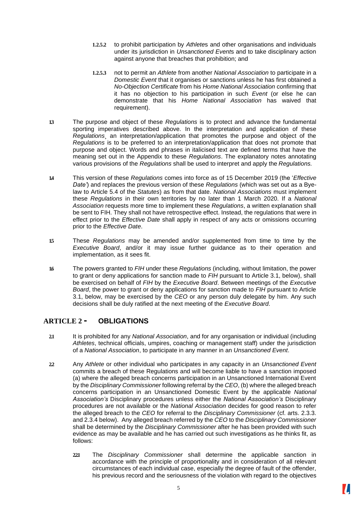- **1.2.5.2** to prohibit participation by *Athlete*s and other organisations and individuals under its jurisdiction in *Unsanctioned Event*s and to take disciplinary action against anyone that breaches that prohibition; and
- **1.2.5.3** not to permit an *Athlete* from another *National Association* to participate in a *Domestic Event* that it organises or sanctions unless he has first obtained a *No-Objection Certificate* from his *Home National Association* confirming that it has no objection to his participation in such *Event* (or else he can demonstrate that his *Home National Association* has waived that requirement).
- **1.3** The purpose and object of these *Regulations* is to protect and advance the fundamental sporting imperatives described above. In the interpretation and application of these *Regulations*¸ an interpretation/application that promotes the purpose and object of the *Regulations* is to be preferred to an interpretation/application that does not promote that purpose and object. Words and phrases in italicised text are defined terms that have the meaning set out in the Appendix to these *Regulations*. The explanatory notes annotating various provisions of the *Regulations* shall be used to interpret and apply the *Regulations.*
- **1.4** This version of these *Regulations* comes into force as of 15 December 2019 (the '*Effective Date'*) and replaces the previous version of these *Regulations* (which was set out as a Byelaw to Article 5.4 of the *Statutes*) as from that date. *National Associations* must implement these *Regulations* in their own territories by no later than 1 March 2020. If a *National Association* requests more time to implement these *Regulations*, a written explanation shall be sent to FIH. They shall not have retrospective effect. Instead, the regulations that were in effect prior to the *Effective Date* shall apply in respect of any acts or omissions occurring prior to the *Effective Date*.
- **1.5** These *Regulations* may be amended and/or supplemented from time to time by the *Executive Board*, and/or it may issue further guidance as to their operation and implementation, as it sees fit.
- **1.6** The powers granted to *FIH* under these *Regulations* (including, without limitation, the power to grant or deny applications for sanction made to *FIH* pursuant to Article 3.1, below), shall be exercised on behalf of *FIH* by the *Executive Board*. Between meetings of the *Executive Board*, the power to grant or deny applications for sanction made to *FIH* pursuant to Article 3.1, below, may be exercised by the *CEO* or any person duly delegate by him. Any such decisions shall be duly ratified at the next meeting of the *Executive Board*.

#### <span id="page-4-0"></span>**ARTICLE 2 - OBLIGATIONS**

- **2.1** It is prohibited for any *National Association*, and for any organisation or individual (including *Athletes*, technical officials, umpires, coaching or management staff) under the jurisdiction of a *National Association*, to participate in any manner in an *Unsanctioned Event*.
- **2.2** Any *Athlete* or other individual who participates in any capacity in an *Unsanctioned Event*  commits a breach of these Regulations and will become liable to have a sanction imposed (a) where the alleged breach concerns participation in an Unsanctioned International Event by the *Disciplinary Commissioner* following referral by the *CEO*, (b) where the alleged breach concerns participation in an Unsanctioned Domestic Event by the applicable *National Association's* Disciplinary procedures unless either the *National Association's* Disciplinary procedures are not available or the *National Association* decides for good reason to refer the alleged breach to the *CEO* for referral to the *Disciplinary Commissioner* (cf. arts. 2.3.3. and 2.3.4 below). Any alleged breach referred by the *CEO* to the *Disciplinary Commissioner* shall be determined by the *Disciplinary Commissioner* after he has been provided with such evidence as may be available and he has carried out such investigations as he thinks fit, as follows:
	- **2.2.1** The *Disciplinary Commissioner* shall determine the applicable sanction in accordance with the principle of proportionality and in consideration of all relevant circumstances of each individual case, especially the degree of fault of the offender, his previous record and the seriousness of the violation with regard to the objectives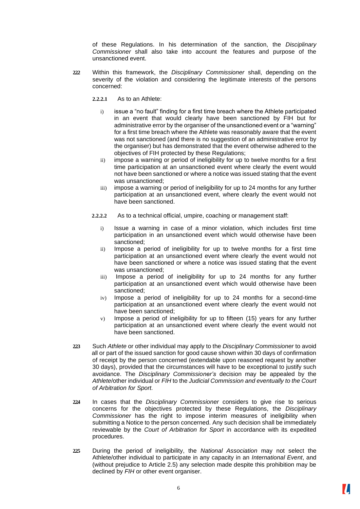of these Regulations. In his determination of the sanction, the *Disciplinary Commissioner* shall also take into account the features and purpose of the unsanctioned event.

- **2.2.2** Within this framework, the *Disciplinary Commissioner* shall, depending on the severity of the violation and considering the legitimate interests of the persons concerned:
	- **2.2.2.1** As to an Athlete:
		- i) issue a "no fault" finding for a first time breach where the Athlete participated in an event that would clearly have been sanctioned by FIH but for administrative error by the organiser of the unsanctioned event or a "warning" for a first time breach where the Athlete was reasonably aware that the event was not sanctioned (and there is no suggestion of an administrative error by the organiser) but has demonstrated that the event otherwise adhered to the objectives of FIH protected by these Regulations;
		- ii) impose a warning or period of ineligibility for up to twelve months for a first time participation at an unsanctioned event where clearly the event would not have been sanctioned or where a notice was issued stating that the event was unsanctioned;
		- iii) impose a warning or period of ineligibility for up to 24 months for any further participation at an unsanctioned event, where clearly the event would not have been sanctioned.
	- **2.2.2.2** As to a technical official, umpire, coaching or management staff:
		- i) Issue a warning in case of a minor violation, which includes first time participation in an unsanctioned event which would otherwise have been sanctioned;
		- ii) Impose a period of ineligibility for up to twelve months for a first time participation at an unsanctioned event where clearly the event would not have been sanctioned or where a notice was issued stating that the event was unsanctioned;
		- iii) Impose a period of ineligibility for up to 24 months for any further participation at an unsanctioned event which would otherwise have been sanctioned;
		- iv) Impose a period of ineligibility for up to 24 months for a second-time participation at an unsanctioned event where clearly the event would not have been sanctioned;
		- v) Impose a period of ineligibility for up to fifteen (15) years for any further participation at an unsanctioned event where clearly the event would not have been sanctioned.
- **2.2.3** Such *Athlete* or other individual may apply to the *Disciplinary Commissioner* to avoid all or part of the issued sanction for good cause shown within 30 days of confirmation of receipt by the person concerned (extendable upon reasoned request by another 30 days), provided that the circumstances will have to be exceptional to justify such avoidance. The *Disciplinary Commissioner's* decision may be appealed by the *Athlete*/other individual or *FIH* to the *Judicial Commission and eventually to the Court of Arbitration for Sport.*
- **2.2.4** In cases that the *Disciplinary Commissioner* considers to give rise to serious concerns for the objectives protected by these Regulations, the *Disciplinary Commissioner* has the right to impose interim measures of ineligibility when submitting a Notice to the person concerned. Any such decision shall be immediately reviewable by the *Court of Arbitration for Sport* in accordance with its expedited procedures.
- **2.2.5** During the period of ineligibility, the *National Association* may not select the Athlete/other individual to participate in any capacity in an *International Event*, and (without prejudice to Article 2.5) any selection made despite this prohibition may be declined by *FIH* or other event organiser.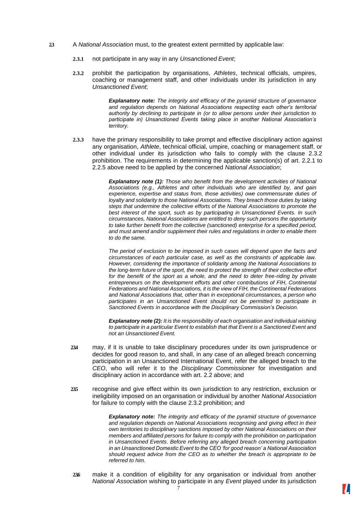- **2.3** A *National Association* must, to the greatest extent permitted by applicable law:
	- **2.3.1** not participate in any way in any *Unsanctioned Event*;
	- **2.3.2** prohibit the participation by organisations, *Athletes*, technical officials, umpires, coaching or management staff, and other individuals under its jurisdiction in any *Unsanctioned Event*;

*Explanatory note: The integrity and efficacy of the pyramid structure of governance and regulation depends on National Associations respecting each other's territorial authority by declining to participate in (or to allow persons under their jurisdiction to participate in) Unsanctioned Events taking place in another National Association's territory.*

**2.3.3** have the primary responsibility to take prompt and effective disciplinary action against any organisation, *Athlete*, technical official, umpire, coaching or management staff, or other individual under its jurisdiction who fails to comply with the clause 2.3.2 prohibition. The requirements in determining the applicable sanction(s) of art. 2.2.1 to 2.2.5 above need to be applied by the concerned *National Association*;

> *Explanatory note (1): Those who benefit from the development activities of National Associations (e.g., Athletes and other individuals who are identified by, and gain experience, expertise and status from, those activities) owe commensurate duties of loyalty and solidarity to those National Associations. They breach those duties by taking steps that undermine the collective efforts of the National Associations to promote the best interest of the sport, such as by participating in Unsanctioned Events. In such circumstances, National Associations are entitled to deny such persons the opportunity to take further benefit from the collective (sanctioned) enterprise for a specified period, and must amend and/or supplement their rules and regulations in order to enable them to do the same.*

> *The period of exclusion to be imposed in such cases will depend upon the facts and circumstances of each particular case, as well as the constraints of applicable law. However, considering the importance of solidarity among the National Associations to the long-term future of the sport, the need to protect the strength of their collective effort*  for the benefit of the sport as a whole, and the need to deter free-riding by private *entrepreneurs on the development efforts and other contributions of FIH, Continental Federations and National Associations, it is the view of FIH, the Continental Federations and National Associations that, other than in exceptional circumstances, a person who*  participates in an Unsanctioned Event should not be permitted to participate in *Sanctioned Events in accordance with the Disciplinary Commission's Decision.*

> *Explanatory note (2): It is the responsibility of each organisation and individual wishing to participate in a particular Event to establish that that Event is a Sanctioned Event and not an Unsanctioned Event.*

- **2.3.4** may, if it is unable to take disciplinary procedures under its own jurisprudence or decides for good reason to, and shall, in any case of an alleged breach concerning participation in an Unsanctioned International Event, refer the alleged breach to the *CEO*, who will refer it to the *Disciplinary Commissioner* for investigation and disciplinary action in accordance with art. 2.2 above; and
- **2.3.5** recognise and give effect within its own jurisdiction to any restriction, exclusion or ineligibility imposed on an organisation or individual by another *National Association*  for failure to comply with the clause 2.3.2 prohibition; and

*Explanatory note: The integrity and efficacy of the pyramid structure of governance and regulation depends on National Associations recognising and giving effect in their own territories to disciplinary sanctions imposed by other National Associations on their members and affiliated persons for failure to comply with the prohibition on participation in Unsanctioned Events. Before referring any alleged breach concerning participation in an Unsanctioned Domestic Event to the CEO 'for good reason' a National Association should request advice from the CEO as to whether the breach is appropriate to be referred to him.*

**2.3.6** make it a condition of eligibility for any organisation or individual from another *National Association* wishing to participate in any *Event* played under its jurisdiction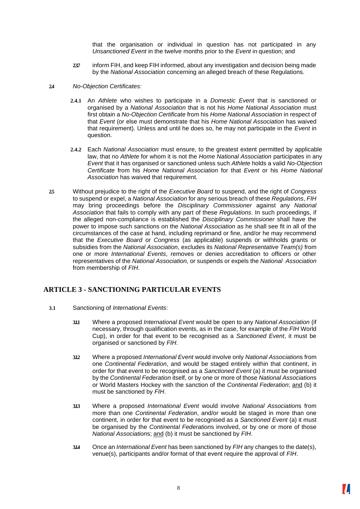that the organisation or individual in question has not participated in any *Unsanctioned Event* in the twelve months prior to the *Event* in question; and

- **2.3.7** inform FIH, and keep FIH informed, about any investigation and decision being made by the *National Association* concerning an alleged breach of these Regulations.
- **2.4** *No-Objection Certificates:*
	- **2.4.1** An *Athlete* who wishes to participate in a *Domestic Event* that is sanctioned or organised by a *National Association* that is not his *Home National Association* must first obtain a *No-Objection Certificate* from his *Home National Association* in respect of that *Event* (or else must demonstrate that his *Home National Association* has waived that requirement). Unless and until he does so, he may not participate in the *Event* in question.
	- **2.4.2** Each *National Association* must ensure, to the greatest extent permitted by applicable law, that no *Athlete* for whom it is not the *Home National Association* participates in any *Event* that it has organised or sanctioned unless such *Athlete* holds a valid *No-Objection Certificate* from his *Home National Association* for that *Event* or his *Home National Association* has waived that requirement.
- **2.5** Without prejudice to the right of the *Executive Board* to suspend, and the right of *Congress*  to suspend or expel, a *National Association* for any serious breach of these *Regulations*, *FIH*  may bring proceedings before the *Disciplinary Commissioner* against any *National Association* that fails to comply with any part of these *Regulations*. In such proceedings, if the alleged non-compliance is established the *Disciplinary Commissioner* shall have the power to impose such sanctions on the *National Association* as he shall see fit in all of the circumstances of the case at hand, including reprimand or fine, and/or he may recommend that the *Executive Board* or *Congress* (as applicable) suspends or withholds grants or subsidies from the *National Association*, excludes its *National Representative Team(s)* from one or more *International Events*, removes or denies accreditation to officers or other representatives of the *National Association,* or suspends or expels the *National Association*  from membership of *FIH*.

#### <span id="page-7-0"></span>**ARTICLE 3 - SANCTIONING PARTICULAR EVENTS**

- **3.1** Sanctioning of *International Events*:
	- **3.1.1** Where a proposed *International Event* would be open to any *National Association* (if necessary, through qualification events, as in the case, for example of the *FIH* World Cup), in order for that event to be recognised as a *Sanctioned Event*, it must be organised or sanctioned by *FIH*.
	- **3.1.2** Where a proposed *International Event* would involve only *National Association*s from one *Continental Federation*, and would be staged entirely within that continent, in order for that event to be recognised as a *Sanctioned Event* (a) it must be organised by the *Continental Federation* itself, or by one or more of those *National Association*s or World Masters Hockey with the sanction of the *Continental Federation*; and (b) it must be sanctioned by *FIH*.
	- **3.1.3** Where a proposed *International Event* would involve *National Association*s from more than one *Continental Federation*, and/or would be staged in more than one continent, in order for that event to be recognised as a *Sanctioned Event* (a) it must be organised by the *Continental Federation*s involved, or by one or more of those *National Association*s; and (b) it must be sanctioned by *FIH*.
	- **3.1.4** Once an *International Event* has been sanctioned by *FIH* any changes to the date(s), venue(s), participants and/or format of that event require the approval of *FIH*.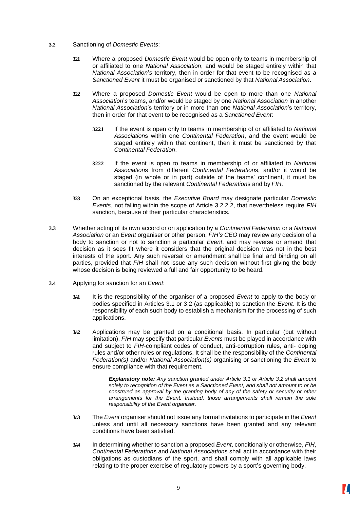#### **3.2** Sanctioning of *Domestic Events*:

- **3.2.1** Where a proposed *Domestic Event* would be open only to teams in membership of or affiliated to one *National Association*, and would be staged entirely within that *National Association*'*s* territory, then in order for that event to be recognised as a *Sanctioned Event* it must be organised or sanctioned by that *National Association*.
- **3.2.2** Where a proposed *Domestic Event* would be open to more than one *National Association*'*s* teams, and/or would be staged by one *National Association* in another *National Association*'s territory or in more than one *National Association*'s territory, then in order for that event to be recognised as a *Sanctioned Event*:
	- **3.2.2.1** If the event is open only to teams in membership of or affiliated to *National Association*s within one *Continental Federation*, and the event would be staged entirely within that continent, then it must be sanctioned by that *Continental Federation*.
	- **3.2.2.2** If the event is open to teams in membership of or affiliated to *National Association*s from different *Continental Federation*s, and/or it would be staged (in whole or in part) outside of the teams' continent, it must be sanctioned by the relevant *Continental Federation*s and by *FIH*.
- **3.2.3** On an exceptional basis, the *Executive Board* may designate particular *Domestic Events*, not falling within the scope of Article 3.2.2.2, that nevertheless require *FIH*  sanction, because of their particular characteristics*.*
- **3.3** Whether acting of its own accord or on application by a *Continental Federation* or a *National Association* or an *Event* organiser or other person, *FIH's CEO* may review any decision of a body to sanction or not to sanction a particular *Event*, and may reverse or amend that decision as it sees fit where it considers that the original decision was not in the best interests of the sport. Any such reversal or amendment shall be final and binding on all parties, provided that *FIH* shall not issue any such decision without first giving the body whose decision is being reviewed a full and fair opportunity to be heard.
- **3.4** Applying for sanction for an *Event*:
	- **3.4.1** It is the responsibility of the organiser of a proposed *Event* to apply to the body or bodies specified in Articles 3.1 or 3.2 (as applicable) to sanction the *Event*. It is the responsibility of each such body to establish a mechanism for the processing of such applications.
	- **3.4.2** Applications may be granted on a conditional basis. In particular (but without limitation), *FIH* may specify that particular *Events* must be played in accordance with and subject to *FIH*-compliant codes of conduct, anti-corruption rules, anti- doping rules and/or other rules or regulations. It shall be the responsibility of the *Continental Federation(s)* and/or *National Association*(*s)* organising or sanctioning the *Event* to ensure compliance with that requirement.

*Explanatory note: Any sanction granted under Article 3.1 or Article 3.2 shall amount solely to recognition of the Event as a Sanctioned Event, and shall not amount to or be construed as approval by the granting body of any of the safety or security or other arrangements for the Event. Instead, those arrangements shall remain the sole responsibility of the Event organiser.*

- **3.4.3** The *Event* organiser should not issue any formal invitations to participate in the *Event*  unless and until all necessary sanctions have been granted and any relevant conditions have been satisfied.
- **3.4.4** In determining whether to sanction a proposed *Event*, conditionally or otherwise, *FIH*, *Continental Federation*s and *National Association*s shall act in accordance with their obligations as custodians of the sport, and shall comply with all applicable laws relating to the proper exercise of regulatory powers by a sport's governing body.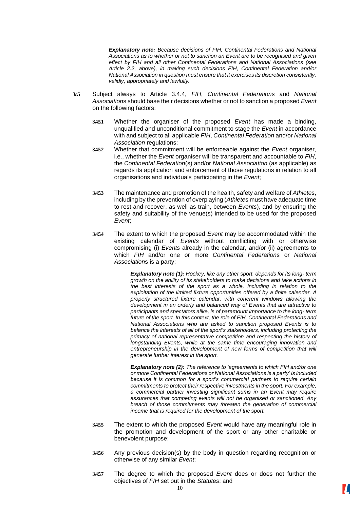*Explanatory note: Because decisions of FIH, Continental Federations and National Associations as to whether or not to sanction an Event are to be recognised and given effect by FIH and all other Continental Federations and National Associations (see Article 2.2, above), in making such decisions FIH, Continental Federation and/or National Association in question must ensure that it exercises its discretion consistently, validly, appropriately and lawfully.*

- **3.4.5** Subject always to Article 3.4.4, *FIH*, *Continental Federation*s and *National Association*s should base their decisions whether or not to sanction a proposed *Event*  on the following factors:
	- **3.4.5.1** Whether the organiser of the proposed *Event* has made a binding, unqualified and unconditional commitment to stage the *Event* in accordance with and subject to all applicable *FIH*, *Continental Federation* and/or *National Association* regulations;
	- **3.4.5.2** Whether that commitment will be enforceable against the *Event* organiser, i.e., whether the *Event* organiser will be transparent and accountable to *FIH*, the *Continental Federation*(s) and/or *National Association* (as applicable) as regards its application and enforcement of those regulations in relation to all organisations and individuals participating in the *Event*;
	- **3.4.5.3** The maintenance and promotion of the health, safety and welfare of *Athlete*s, including by the prevention of overplaying (*Athlete*s must have adequate time to rest and recover, as well as train, between *Events*), and by ensuring the safety and suitability of the venue(s) intended to be used for the proposed *Event*;
	- **3.4.5.4** The extent to which the proposed *Event* may be accommodated within the existing calendar of *Events* without conflicting with or otherwise compromising (i) *Events* already in the calendar, and/or (ii) agreements to which *FIH* and/or one or more *Continental Federation*s or *National Association*s is a party;

*Explanatory note (1): Hockey, like any other sport, depends for its long- term growth on the ability of its stakeholders to make decisions and take actions in the best interests of the sport as a whole, including in relation to the exploitation of the limited fixture opportunities offered by a finite calendar. A properly structured fixture calendar, with coherent windows allowing the development in an orderly and balanced way of Events that are attractive to participants and spectators alike, is of paramount importance to the long- term future of the sport. In this context, the role of FIH, Continental Federations and National Associations who are asked to sanction proposed Events is to balance the interests of all of the sport's stakeholders, including protecting the primacy of national representative competition and respecting the history of longstanding Events, while at the same time encouraging innovation and*  entrepreneurship in the development of new forms of competition that will *generate further interest in the sport.*

*Explanatory note (2): The reference to 'agreements to which FIH and/or one or more Continental Federations or National Associations is a party' is included because it is common for a sport's commercial partners to require certain commitments to protect their respective investments in the sport. For example, a commercial partner investing significant sums in an Event may require assurances that competing events will not be organised or sanctioned. Any breach of those commitments may threaten the generation of commercial income that is required for the development of the sport.*

- **3.4.5.5** The extent to which the proposed *Event* would have any meaningful role in the promotion and development of the sport or any other charitable or benevolent purpose;
- **3.4.5.6** Any previous decision(s) by the body in question regarding recognition or otherwise of any similar *Event*;
- **3.4.5.7** The degree to which the proposed *Event* does or does not further the objectives of *FIH* set out in the *Statutes*; and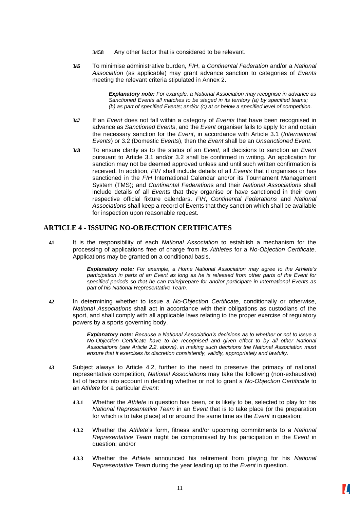- **3.4.5.8** Any other factor that is considered to be relevant.
- **3.4.6** To minimise administrative burden, *FIH*, a *Continental Federation* and/or a *National Association* (as applicable) may grant advance sanction to categories of *Events*  meeting the relevant criteria stipulated in Annex 2.

*Explanatory note: For example, a National Association may recognise in advance as Sanctioned Events all matches to be staged in its territory (a) by specified teams; (b) as part of specified Events; and/or (c) at or below a specified level of competition.*

- **3.4.7** If an *Event* does not fall within a category of *Events* that have been recognised in advance as *Sanctioned Events*, and the *Event* organiser fails to apply for and obtain the necessary sanction for the *Event*, in accordance with Article 3.1 (*International Events*) or 3.2 (Domestic *Events*), then the *Event* shall be an *Unsanctioned Event*.
- **3.4.8** To ensure clarity as to the status of an *Event*, all decisions to sanction an *Event*  pursuant to Article 3.1 and/or 3.2 shall be confirmed in writing. An application for sanction may not be deemed approved unless and until such written confirmation is received. In addition, *FIH* shall include details of all *Events* that it organises or has sanctioned in the *FIH* International Calendar and/or its Tournament Management System (TMS); and *Continental Federation*s and their *National Association*s shall include details of all *Events* that they organise or have sanctioned in their own respective official fixture calendars. *FIH*, *Continental Federations* and *National Associations* shall keep a record of Events that they sanction which shall be available for inspection upon reasonable request*.*

#### <span id="page-10-0"></span>**ARTICLE 4 - ISSUING NO-OBJECTION CERTIFICATES**

**4.1** It is the responsibility of each *National Association* to establish a mechanism for the processing of applications free of charge from its *Athletes* for a *No-Objection Certificate*. Applications may be granted on a conditional basis.

> *Explanatory note: For example, a Home National Association may agree to the Athlete's participation in parts of an Event as long as he is released from other parts of the Event for specified periods so that he can train/prepare for and/or participate in International Events as part of his National Representative Team.*

**4.2** In determining whether to issue a *No-Objection Certificate*, conditionally or otherwise, *National Association*s shall act in accordance with their obligations as custodians of the sport, and shall comply with all applicable laws relating to the proper exercise of regulatory powers by a sports governing body.

> *Explanatory note: Because a National Association's decisions as to whether or not to issue a No-Objection Certificate have to be recognised and given effect to by all other National Associations (see Article 2.2, above), in making such decisions the National Association must ensure that it exercises its discretion consistently, validly, appropriately and lawfully.*

- **4.3** Subject always to Article 4.2, further to the need to preserve the primacy of national representative competition, *National Association*s may take the following (non-exhaustive) list of factors into account in deciding whether or not to grant a *No-Objection Certificate* to an *Athlete* for a particular *Event*:
	- **4.3.1** Whether the *Athlete* in question has been, or is likely to be, selected to play for his *National Representative Team* in an *Event* that is to take place (or the preparation for which is to take place) at or around the same time as the *Event* in question;
	- **4.3.2** Whether the *Athlete*'s form, fitness and/or upcoming commitments to a *National Representative Team* might be compromised by his participation in the *Event* in question; and/or
	- **4.3.3** Whether the *Athlete* announced his retirement from playing for his *National Representative Team* during the year leading up to the *Event* in question.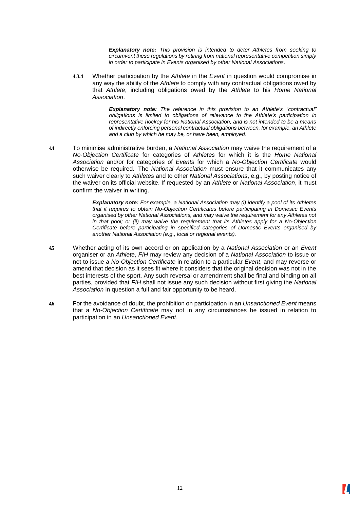*Explanatory note: This provision is intended to deter Athletes from seeking to circumvent these regulations by retiring from national representative competition simply in order to participate in Events organised by other National Associations*.

**4.3.4** Whether participation by the *Athlete* in the *Event* in question would compromise in any way the ability of the *Athlete* to comply with any contractual obligations owed by that *Athlete*, including obligations owed by the *Athlete* to his *Home National Association*.

> *Explanatory note: The reference in this provision to an Athlete's "contractual" obligations is limited to obligations of relevance to the Athlete's participation in representative hockey for his National Association, and is not intended to be a means of indirectly enforcing personal contractual obligations between, for example, an Athlete and a club by which he may be, or have been, employed*.

**4.4** To minimise administrative burden, a *National Association* may waive the requirement of a *No-Objection Certificate* for categories of *Athletes* for which it is the *Home National Association* and/or for categories of *Events* for which a *No-Objection Certificate* would otherwise be required. The *National Association* must ensure that it communicates any such waiver clearly to *Athletes* and to other *National Associations*, e.g., by posting notice of the waiver on its official website. If requested by an *Athlete* or *National Association*, it must confirm the waiver in writing.

> *Explanatory note: For example, a National Association may (i) identify a pool of its Athletes that it requires to obtain No-Objection Certificates before participating in Domestic Events organised by other National Associations, and may waive the requirement for any Athletes not in that pool; or (ii) may waive the requirement that its Athletes apply for a No-Objection Certificate before participating in specified categories of Domestic Events organised by another National Association (e.g., local or regional events).*

- **4.5** Whether acting of its own accord or on application by a *National Association* or an *Event*  organiser or an *Athlete*, *FIH* may review any decision of a *National Association* to issue or not to issue a *No-Objection Certificate* in relation to a particular *Event*, and may reverse or amend that decision as it sees fit where it considers that the original decision was not in the best interests of the sport. Any such reversal or amendment shall be final and binding on all parties, provided that *FIH* shall not issue any such decision without first giving the *National Association* in question a full and fair opportunity to be heard.
- **4.6** For the avoidance of doubt, the prohibition on participation in an *Unsanctioned Event* means that a *No-Objection Certificate* may not in any circumstances be issued in relation to participation in an *Unsanctioned Event.*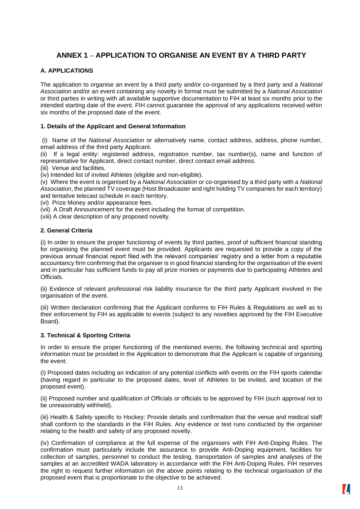#### <span id="page-12-0"></span>**ANNEX 1 – APPLICATION TO ORGANISE AN EVENT BY A THIRD PARTY**

#### **A. APPLICATIONS**

The application to organise an event by a third party and/or co-organised by a third party and a *National Association* and/or an event containing any novelty in format must be submitted by a *National Association* or third parties in writing with all available supportive documentation to FIH at least six months prior to the intended starting date of the event. FIH cannot guarantee the approval of any applications received within six months of the proposed date of the event.

#### **1. Details of the Applicant and General Information**

(i) Name of the *National Association* or alternatively name, contact address, address, phone number, email address of the third party Applicant.

(ii) If a legal entity: registered address, registration number, tax number(s), name and function of representative for Applicant, direct contact number, direct contact email address.

(iii) Venue and facilities.

(iv) Intended list of invited Athletes (eligible and non-eligible).

(v) Where the event is organised by a *National Association* or co-organised by a third party with a *National Association*, the planned TV coverage (Host Broadcaster and right holding TV companies for each territory) and tentative telecast schedule in each territory.

(vi) Prize Money and/or appearance fees.

(vii) A Draft Announcement for the event including the format of competition.

(viii) A clear description of any proposed novelty.

#### **2. General Criteria**

(i) In order to ensure the proper functioning of events by third parties, proof of sufficient financial standing for organising the planned event must be provided. Applicants are requested to provide a copy of the previous annual financial report filed with the relevant companies' registry and a letter from a reputable accountancy firm confirming that the organiser is in good financial standing for the organisation of the event and in particular has sufficient funds to pay all prize monies or payments due to participating Athletes and Officials.

(ii) Evidence of relevant professional risk liability insurance for the third party Applicant involved in the organisation of the event.

(iii) Written declaration confirming that the Applicant conforms to FIH Rules & Regulations as well as to their enforcement by FIH as applicable to events (subject to any novelties approved by the FIH Executive Board).

#### **3. Technical & Sporting Criteria**

In order to ensure the proper functioning of the mentioned events, the following technical and sporting information must be provided in the Application to demonstrate that the Applicant is capable of organising the event:

(i) Proposed dates including an indication of any potential conflicts with events on the FIH sports calendar (having regard in particular to the proposed dates, level of Athletes to be invited, and location of the proposed event).

(ii) Proposed number and qualification of Officials or officials to be approved by FIH (such approval not to be unreasonably withheld).

(iii) Health & Safety specific to Hockey: Provide details and confirmation that the venue and medical staff shall conform to the standards in the FIH Rules. Any evidence or test runs conducted by the organiser relating to the health and safety of any proposed novelty.

(iv) Confirmation of compliance at the full expense of the organisers with FIH Anti-Doping Rules. The confirmation must particularly include the assurance to provide Anti-Doping equipment, facilities for collection of samples, personnel to conduct the testing, transportation of samples and analyses of the samples at an accredited WADA laboratory in accordance with the FIH Anti-Doping Rules. FIH reserves the right to request further information on the above points relating to the technical organisation of the proposed event that is proportionate to the objective to be achieved.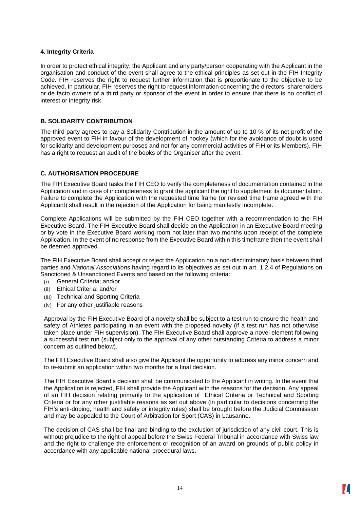#### **4. Integrity Criteria**

In order to protect ethical integrity, the Applicant and any party/person cooperating with the Applicant in the organisation and conduct of the event shall agree to the ethical principles as set out in the FIH Integrity Code. FIH reserves the right to request further information that is proportionate to the objective to be achieved. In particular, FIH reserves the right to request information concerning the directors, shareholders or de facto owners of a third party or sponsor of the event in order to ensure that there is no conflict of interest or integrity risk.

#### **B. SOLIDARITY CONTRIBUTION**

The third party agrees to pay a Solidarity Contribution in the amount of up to 10 % of its net profit of the approved event to FIH in favour of the development of hockey (which for the avoidance of doubt is used for solidarity and development purposes and not for any commercial activities of FIH or its Members). FIH has a right to request an audit of the books of the Organiser after the event.

#### **C. AUTHORISATION PROCEDURE**

The FIH Executive Board tasks the FIH CEO to verify the completeness of documentation contained in the Application and in case of incompleteness to grant the applicant the right to supplement its documentation. Failure to complete the Application with the requested time frame (or revised time frame agreed with the Applicant) shall result in the rejection of the Application for being manifestly incomplete.

Complete Applications will be submitted by the FIH CEO together with a recommendation to the FIH Executive Board. The FIH Executive Board shall decide on the Application in an Executive Board meeting or by vote in the Executive Board working room not later than two months upon receipt of the complete Application. In the event of no response from the Executive Board within this timeframe then the event shall be deemed approved.

The FIH Executive Board shall accept or reject the Application on a non-discriminatory basis between third parties and *National Associations* having regard to its objectives as set out in art. 1.2.4 of Regulations on Sanctioned & Unsanctioned Events and based on the following criteria:

- (i) General Criteria; and/or
- (ii) Ethical Criteria; and/or
- (iii) Technical and Sporting Criteria
- (iv) For any other justifiable reasons

Approval by the FIH Executive Board of a novelty shall be subject to a test run to ensure the health and safety of Athletes participating in an event with the proposed novelty (if a test run has not otherwise taken place under FIH supervision). The FIH Executive Board shall approve a novel element following a successful test run (subject only to the approval of any other outstanding Criteria to address a minor concern as outlined below).

The FIH Executive Board shall also give the Applicant the opportunity to address any minor concern and to re-submit an application within two months for a final decision.

The FIH Executive Board's decision shall be communicated to the Applicant in writing. In the event that the Application is rejected, FIH shall provide the Applicant with the reasons for the decision. Any appeal of an FIH decision relating primarily to the application of Ethical Criteria or Technical and Sporting Criteria or for any other justifiable reasons as set out above (in particular to decisions concerning the FIH's anti-doping, health and safety or integrity rules) shall be brought before the Judicial Commission and may be appealed to the Court of Arbitration for Sport (CAS) in Lausanne.

The decision of CAS shall be final and binding to the exclusion of jurisdiction of any civil court. This is without prejudice to the right of appeal before the Swiss Federal Tribunal in accordance with Swiss law and the right to challenge the enforcement or recognition of an award on grounds of public policy in accordance with any applicable national procedural laws.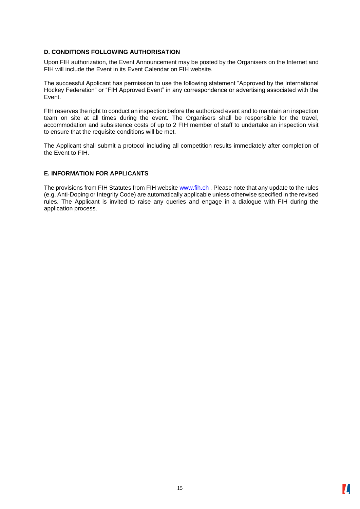#### **D. CONDITIONS FOLLOWING AUTHORISATION**

Upon FIH authorization, the Event Announcement may be posted by the Organisers on the Internet and FIH will include the Event in its Event Calendar on FIH website.

The successful Applicant has permission to use the following statement "Approved by the International Hockey Federation" or "FIH Approved Event" in any correspondence or advertising associated with the Event.

FIH reserves the right to conduct an inspection before the authorized event and to maintain an inspection team on site at all times during the event. The Organisers shall be responsible for the travel, accommodation and subsistence costs of up to 2 FIH member of staff to undertake an inspection visit to ensure that the requisite conditions will be met.

The Applicant shall submit a protocol including all competition results immediately after completion of the Event to FIH.

#### **E. INFORMATION FOR APPLICANTS**

The provisions from FIH Statutes from FIH website [www.fih.ch](http://www.fih.ch/) . Please note that any update to the rules (e.g. Anti-Doping or Integrity Code) are automatically applicable unless otherwise specified in the revised rules. The Applicant is invited to raise any queries and engage in a dialogue with FIH during the application process.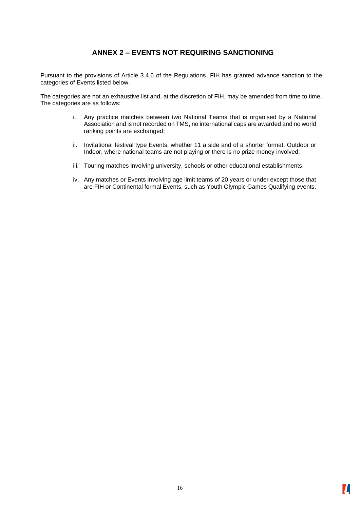#### **ANNEX 2 – EVENTS NOT REQUIRING SANCTIONING**

<span id="page-15-0"></span>Pursuant to the provisions of Article 3.4.6 of the Regulations, FIH has granted advance sanction to the categories of Events listed below.

The categories are not an exhaustive list and, at the discretion of FIH, may be amended from time to time. The categories are as follows:

- i. Any practice matches between two National Teams that is organised by a National Association and is not recorded on TMS, no international caps are awarded and no world ranking points are exchanged;
- ii. Invitational festival type Events, whether 11 a side and of a shorter format, Outdoor or Indoor, where national teams are not playing or there is no prize money involved;
- iii. Touring matches involving university, schools or other educational establishments;
- iv. Any matches or Events involving age limit teams of 20 years or under except those that are FIH or Continental formal Events, such as Youth Olympic Games Qualifying events.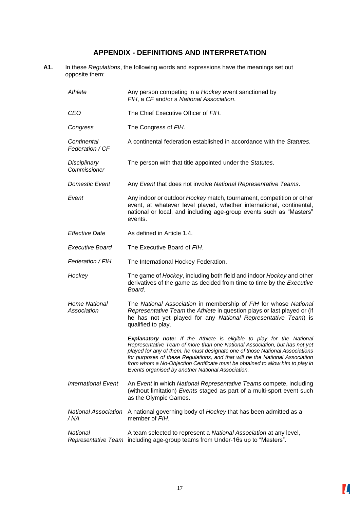#### **APPENDIX - DEFINITIONS AND INTERPRETATION**

<span id="page-16-0"></span>**A1.** In these *Regulations*, the following words and expressions have the meanings set out opposite them:

| Athlete                             | Any person competing in a Hockey event sanctioned by<br>FIH, a CF and/or a National Association.                                                                                                                                                                                                                                                                                                                                                                 |
|-------------------------------------|------------------------------------------------------------------------------------------------------------------------------------------------------------------------------------------------------------------------------------------------------------------------------------------------------------------------------------------------------------------------------------------------------------------------------------------------------------------|
| CEO                                 | The Chief Executive Officer of FIH.                                                                                                                                                                                                                                                                                                                                                                                                                              |
| Congress                            | The Congress of FIH.                                                                                                                                                                                                                                                                                                                                                                                                                                             |
| Continental<br>Federation / CF      | A continental federation established in accordance with the Statutes.                                                                                                                                                                                                                                                                                                                                                                                            |
| Disciplinary<br>Commissioner        | The person with that title appointed under the Statutes.                                                                                                                                                                                                                                                                                                                                                                                                         |
| <b>Domestic Event</b>               | Any Event that does not involve National Representative Teams.                                                                                                                                                                                                                                                                                                                                                                                                   |
| Event                               | Any indoor or outdoor Hockey match, tournament, competition or other<br>event, at whatever level played, whether international, continental,<br>national or local, and including age-group events such as "Masters"<br>events.                                                                                                                                                                                                                                   |
| <b>Effective Date</b>               | As defined in Article 1.4.                                                                                                                                                                                                                                                                                                                                                                                                                                       |
| <b>Executive Board</b>              | The Executive Board of FIH.                                                                                                                                                                                                                                                                                                                                                                                                                                      |
| Federation / FIH                    | The International Hockey Federation.                                                                                                                                                                                                                                                                                                                                                                                                                             |
| Hockey                              | The game of Hockey, including both field and indoor Hockey and other<br>derivatives of the game as decided from time to time by the Executive<br>Board.                                                                                                                                                                                                                                                                                                          |
| <b>Home National</b><br>Association | The National Association in membership of FIH for whose National<br>Representative Team the Athlete in question plays or last played or (if<br>he has not yet played for any National Representative Team) is<br>qualified to play.                                                                                                                                                                                                                              |
|                                     | <b>Explanatory note:</b> If the Athlete is eligible to play for the National<br>Representative Team of more than one National Association, but has not yet<br>played for any of them, he must designate one of those National Associations<br>for purposes of these Regulations, and that will be the National Association<br>from whom a No-Objection Certificate must be obtained to allow him to play in<br>Events organised by another National Association. |
| <b>International Event</b>          | An Event in which National Representative Teams compete, including<br>(without limitation) Events staged as part of a multi-sport event such<br>as the Olympic Games.                                                                                                                                                                                                                                                                                            |
| <b>National Association</b><br>/ NA | A national governing body of Hockey that has been admitted as a<br>member of FIH.                                                                                                                                                                                                                                                                                                                                                                                |
| National                            | A team selected to represent a National Association at any level,<br>Representative Team including age-group teams from Under-16s up to "Masters".                                                                                                                                                                                                                                                                                                               |